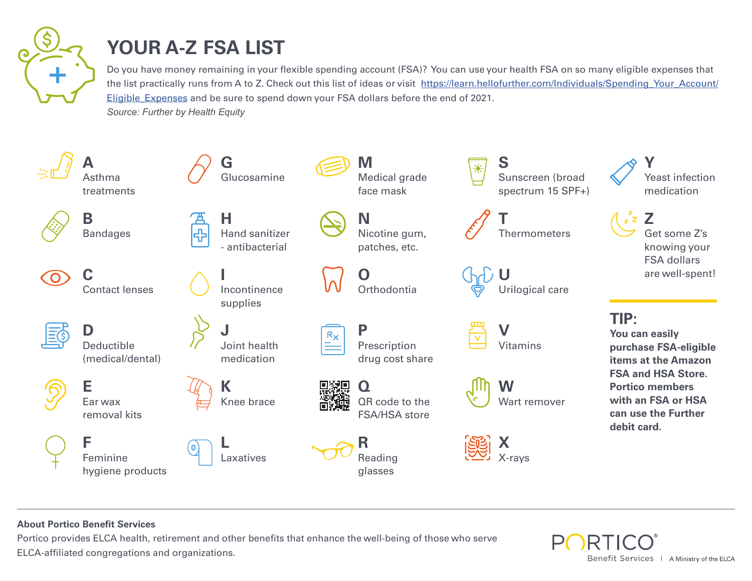

## **YOUR A-Z FSA LIST**

Do you have money remaining in your flexible spending account (FSA)? You can use your health FSA on so many eligible expenses that the list practically runs from A to Z. Check out this list of ideas or visit [https://learn.hellofurther.com/Individuals/Spending\\_Your\\_Account/](https://learn.hellofurther.com/Individuals/Spending_Your_Account/Eligible_Expenses) [Eligible\\_Expenses](https://learn.hellofurther.com/Individuals/Spending_Your_Account/Eligible_Expenses) and be sure to spend down your FSA dollars before the end of 2021. *Source: Further by Health Equity*



## **About Portico Benefit Services**

Portico provides ELCA health, retirement and other benefits that enhance the well-being of those who serve ELCA-affiliated congregations and organizations.